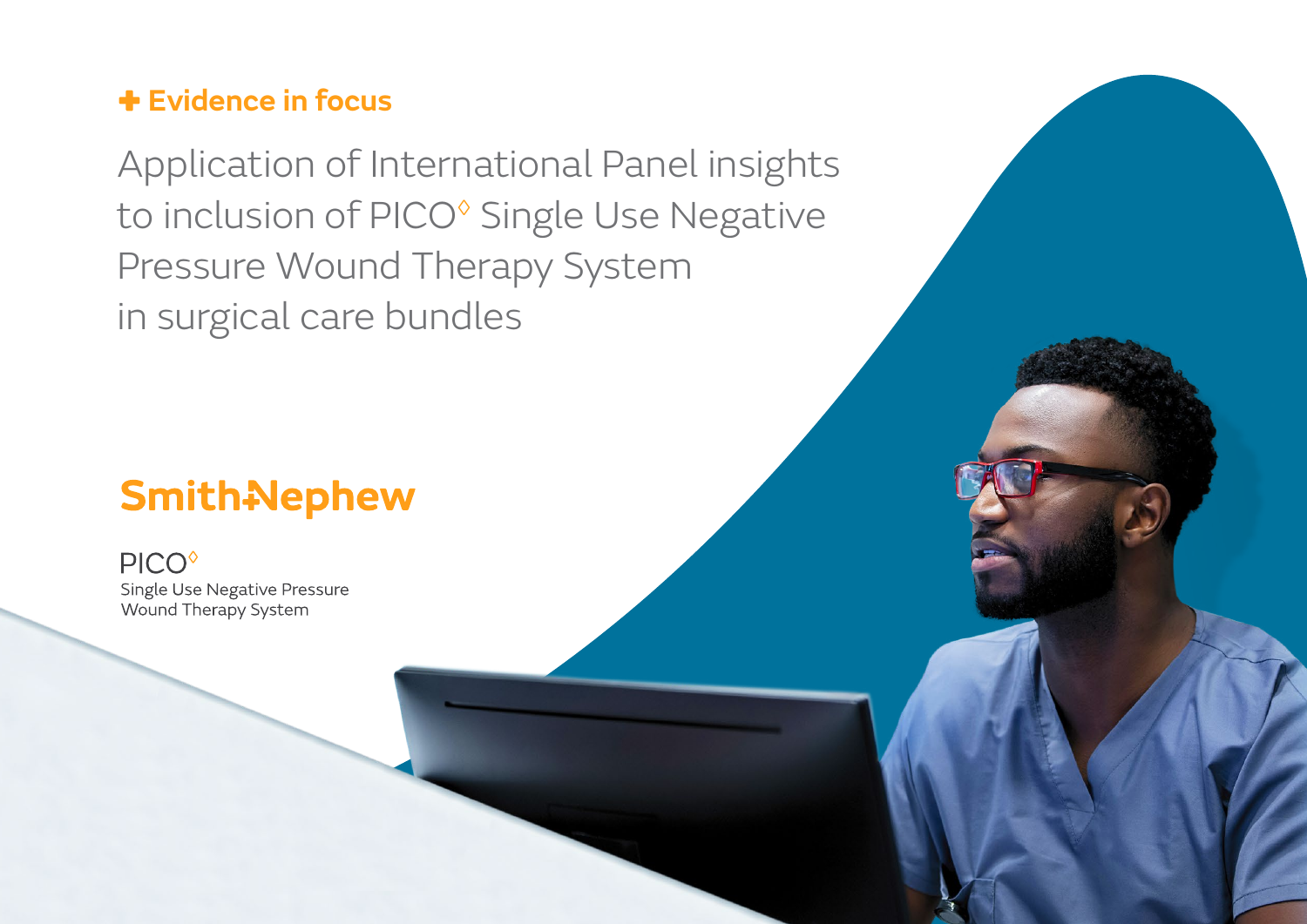### **Evidence in focus**

Application of International Panel insights to inclusion of PICO<sup>®</sup> Single Use Negative Pressure Wound Therapy System in surgical care bundles

# **Smith-Nephew**

**PICO**<sup>o</sup> Single Use Negative Pressure Wound Therapy System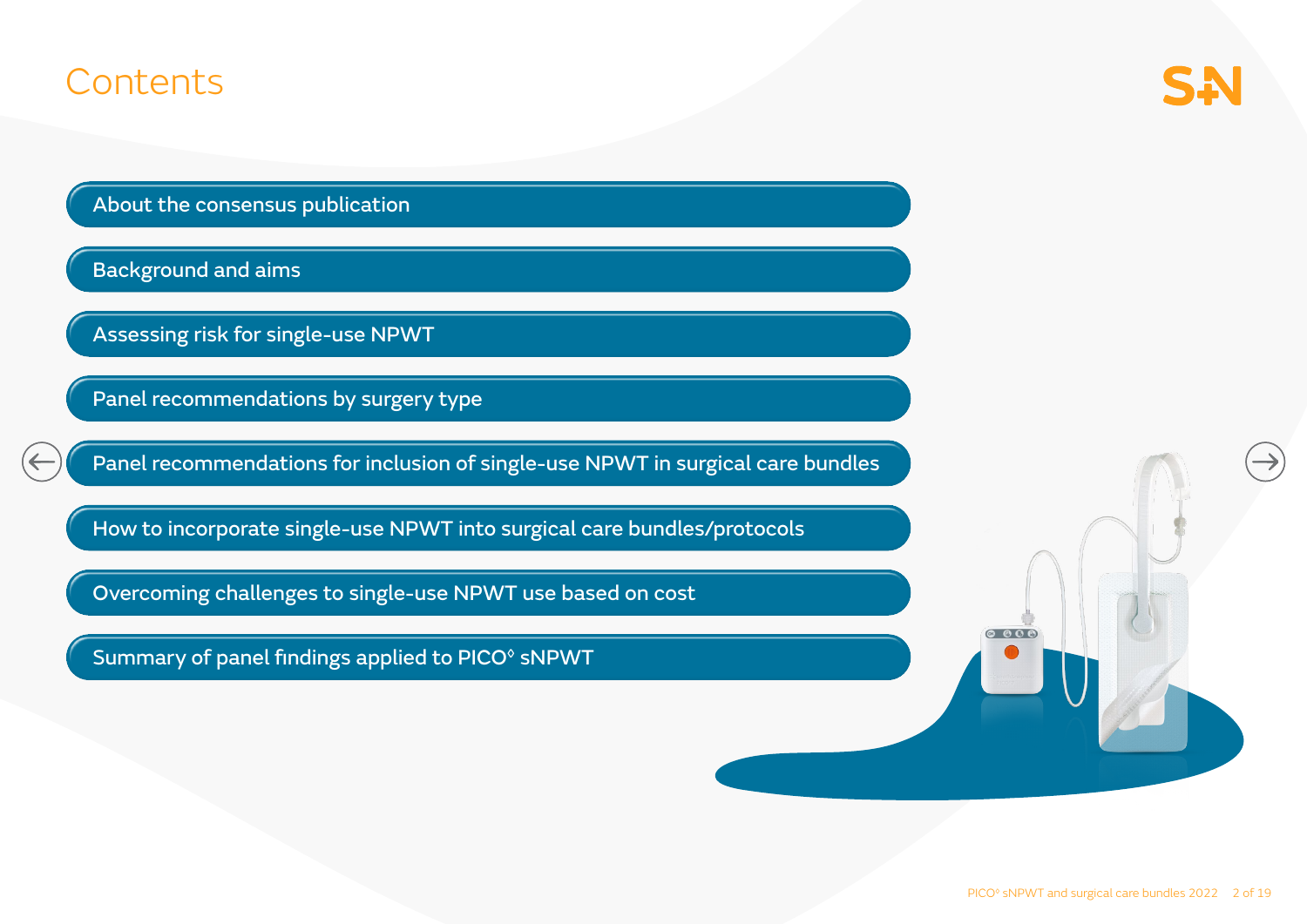### **Contents**

About the consensus publication

Background and aims<br>Assessing risk for single-use NPWT<br>Panel recommendations by surgery type

Panel recommendations for inclusion of single-use NPWT in surgical care bundles

Now to incorporate single-use NPWT into surgical care bundles/protocols<br>  $\overline{\phantom{a}}$ <br>
Overcoming challenges to single-use NPWT use based on cost<br>
Summary of panel findings applied to PICO<sup>®</sup> sNPWT

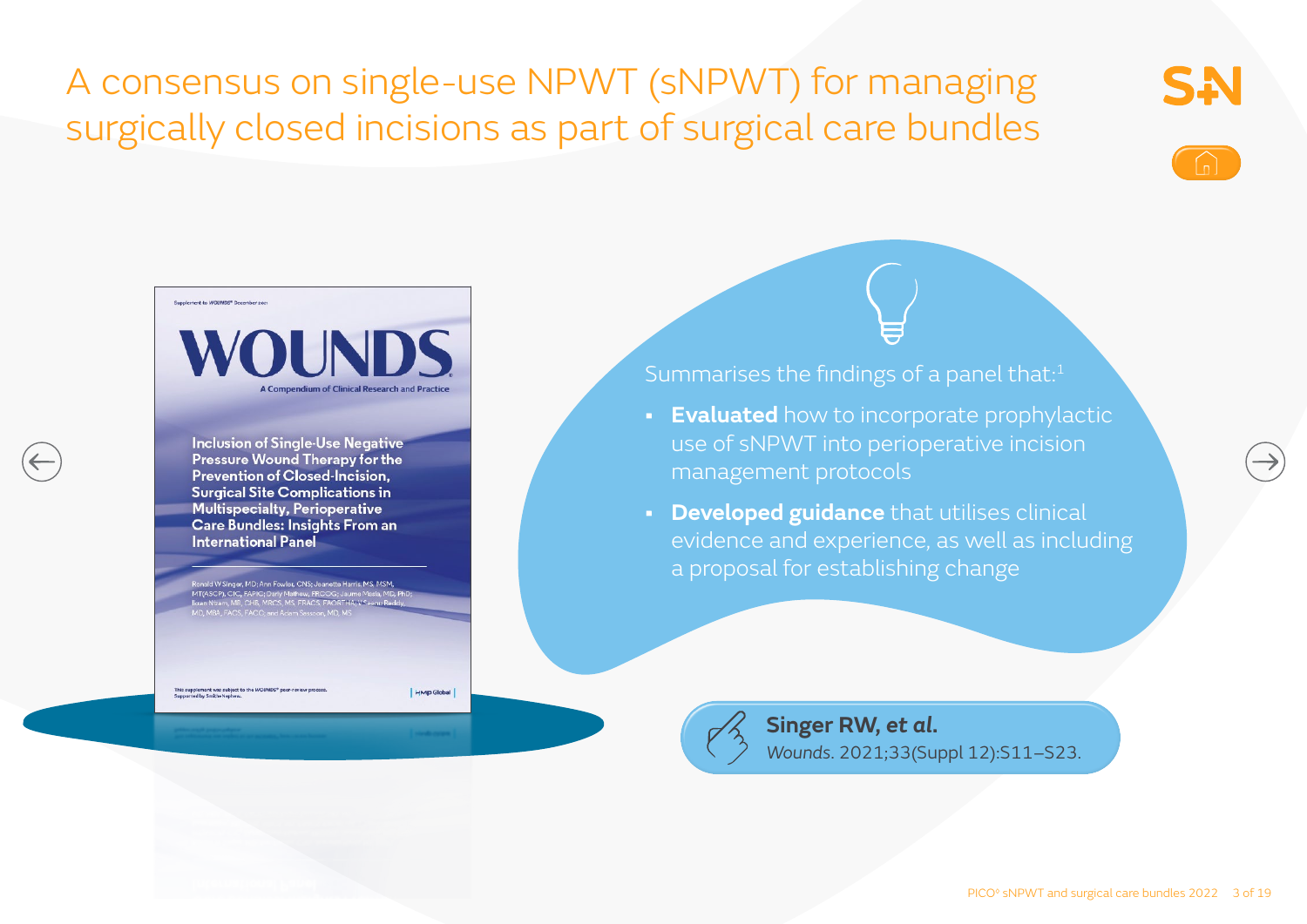## A consensus on single-use NPWT (sNPWT) for managing surgically closed incisions as part of surgical care bundles







**Inclusion of Single-Use Negative** Pressure Wound Therapy for the **Prevention of Closed-Incision. Surgical Site Complications in Multispecialty, Perioperative** Care Bundles: Insights From an **International Panel** 

d W Singer, MD; Ann Fowler, CNS; Jeanette Harri

This supplement was subject to the WOUNDS® peer-review procession of the Smith+Nephew.

HMP Global

Summarises the findings of a panel that:<sup>1</sup>

- **• Evaluated** how to incorporate prophylactic use of sNPWT into perioperative incision management protocols
- **• Developed guidance** that utilises clinical evidence and experience, as well as including a proposal for establishing change



**Singer RW,** *et al***.**  *Wounds*. 2021;33(Suppl 12):S11–S23.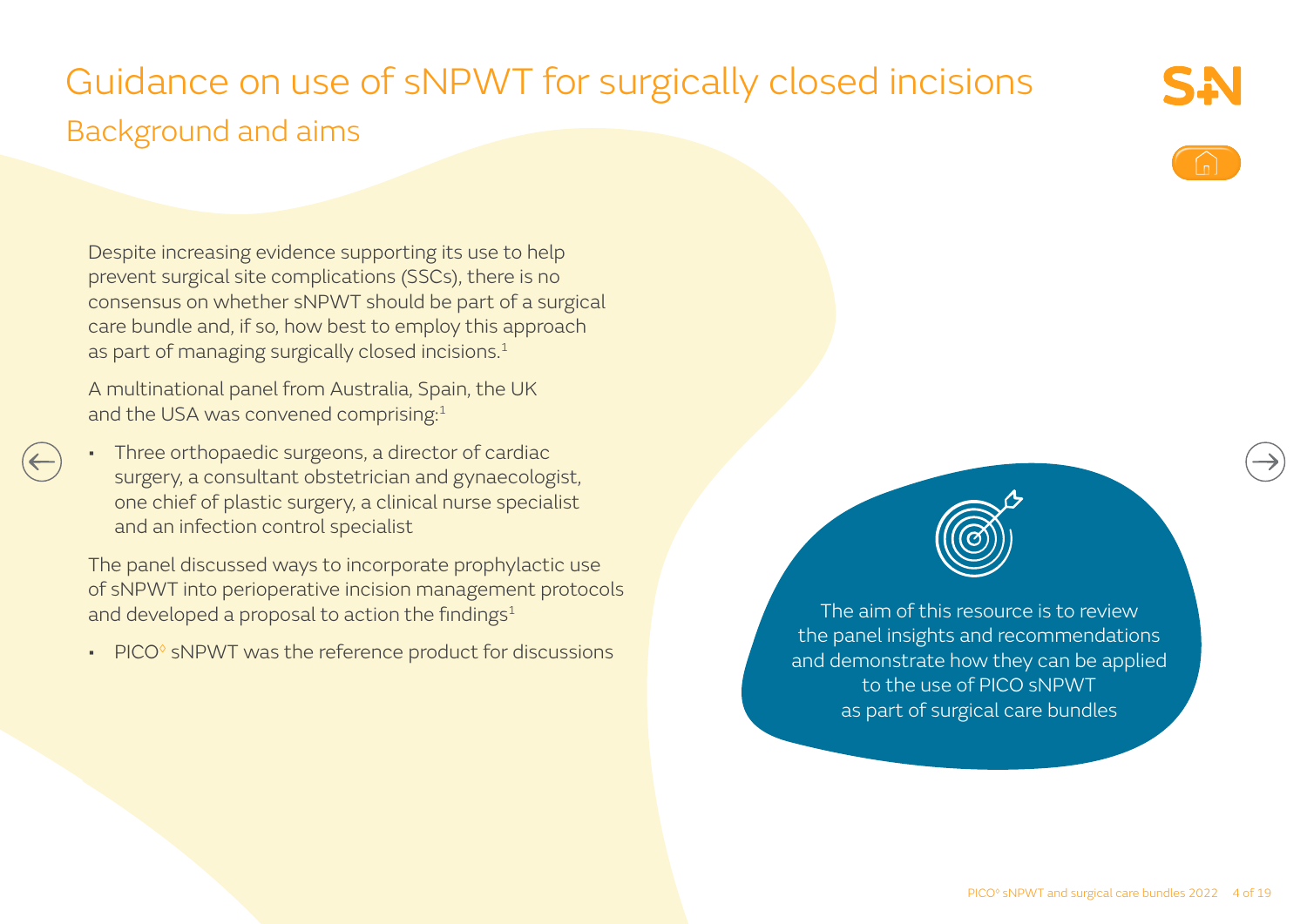## Guidance on use of sNPWT for surgically closed incisions Background and aims

Despite increasing evidence supporting its use to help prevent surgical site complications (SSCs), there is no consensus on whether sNPWT should be part of a surgical care bundle and, if so, how best to employ this approach as part of managing surgically closed incisions.<sup>1</sup>

A multinational panel from Australia, Spain, the UK and the USA was convened comprising:<sup>1</sup>

• Three orthopaedic surgeons, a director of cardiac surgery, a consultant obstetrician and gynaecologist, one chief of plastic surgery, a clinical nurse specialist and an infection control specialist

The panel discussed ways to incorporate prophylactic use of sNPWT into perioperative incision management protocols and developed a proposal to action the findings<sup>1</sup>

• PICO<sup>®</sup> sNPWT was the reference product for discussions



The aim of this resource is to review the panel insights and recommendations and demonstrate how they can be applied to the use of PICO sNPWT as part of surgical care bundles

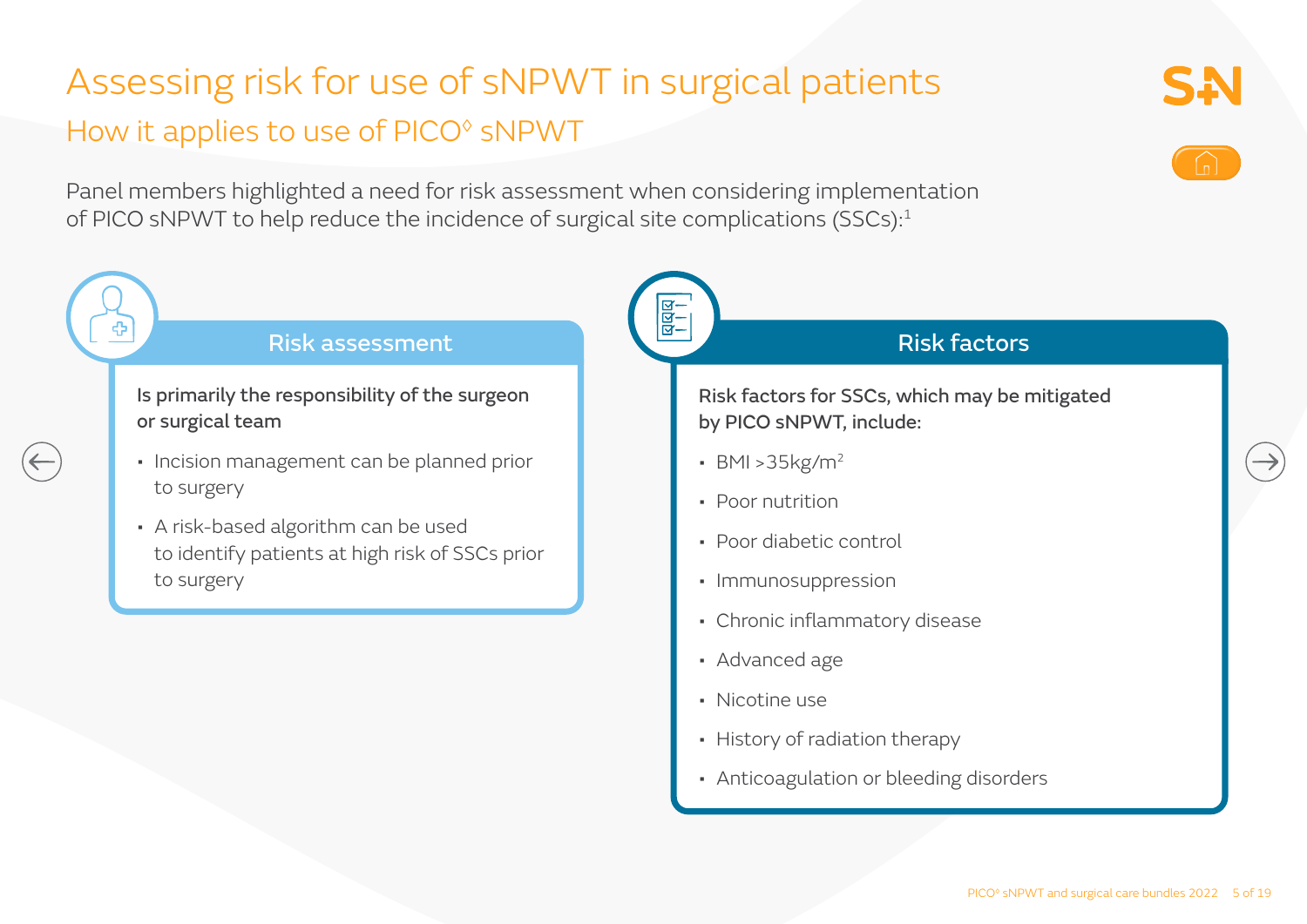## Assessing risk for use of sNPWT in surgical patients How it applies to use of PICO<sup>®</sup> sNPWT

Panel members highlighted a need for risk assessment when considering implementation of PICO sNPWT to help reduce the incidence of surgical site complications (SSCs):<sup>1</sup>

#### <u>बित्</u><br>स Risk assessment Risk factors Is primarily the responsibility of the surgeon Risk factors for SSCs, which may be mitigated or surgical team by PICO sNPWT, include: • Incision management can be planned prior • BMI >35kg/m2 to surgery • Poor nutrition • A risk-based algorithm can be used • Poor diabetic control to identify patients at high risk of SSCs prior to surgery • Immunosuppression • Chronic inflammatory disease • Advanced age

- Nicotine use
- History of radiation therapy
- Anticoagulation or bleeding disorders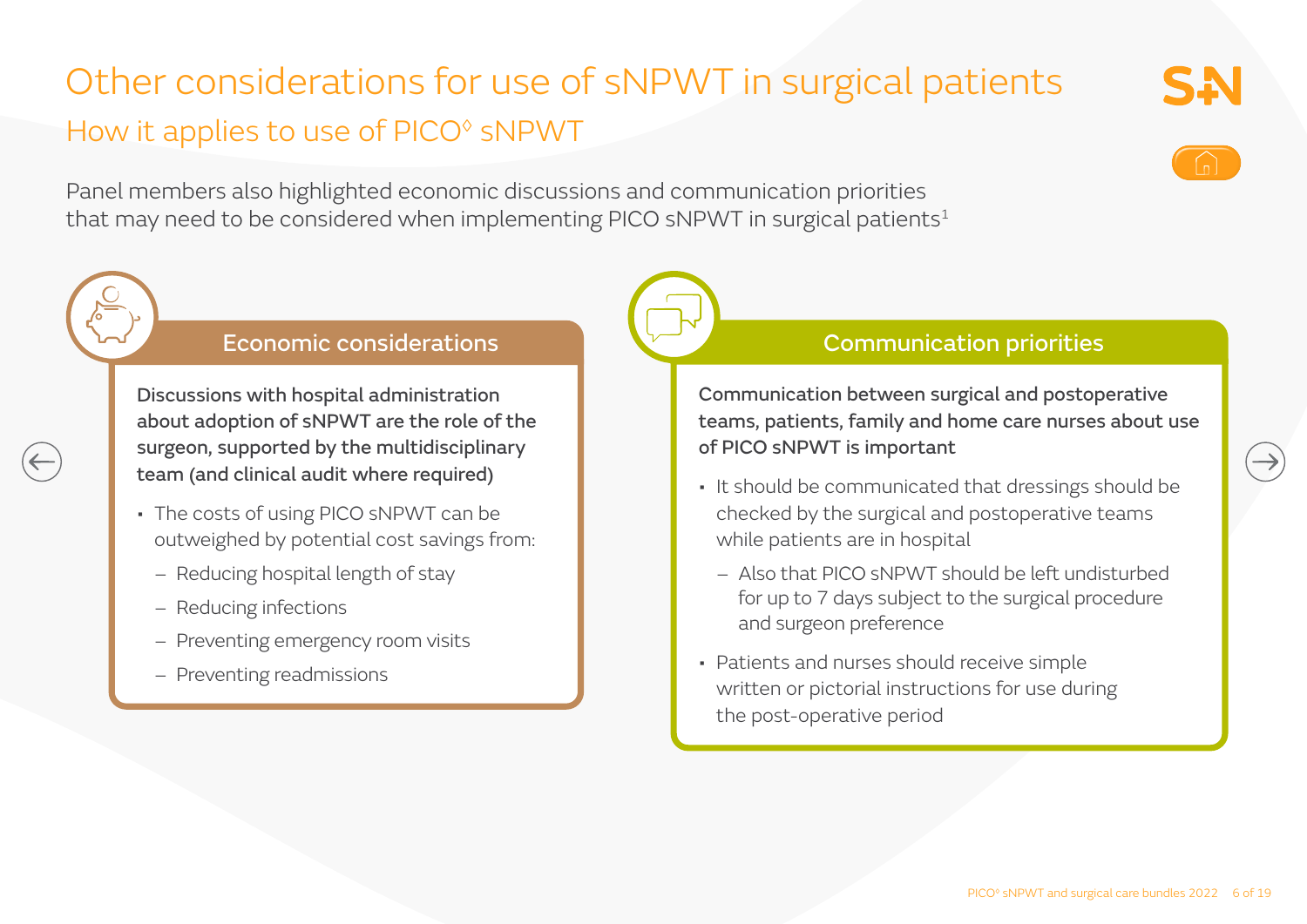## Other considerations for use of sNPWT in surgical patients How it applies to use of PICO<sup>®</sup> sNPWT

Panel members also highlighted economic discussions and communication priorities that may need to be considered when implementing PICO sNPWT in surgical patients<sup>1</sup>

#### Economic considerations

Discussions with hospital administration about adoption of sNPWT are the role of the surgeon, supported by the multidisciplinary team (and clinical audit where required)

- The costs of using PICO sNPWT can be outweighed by potential cost savings from:
	- Reducing hospital length of stay
	- Reducing infections
	- Preventing emergency room visits
	- Preventing readmissions

#### Communication priorities

Communication between surgical and postoperative teams, patients, family and home care nurses about use of PICO sNPWT is important

- It should be communicated that dressings should be checked by the surgical and postoperative teams while patients are in hospital
	- Also that PICO sNPWT should be left undisturbed for up to 7 days subject to the surgical procedure and surgeon preference
- Patients and nurses should receive simple written or pictorial instructions for use during the post-operative period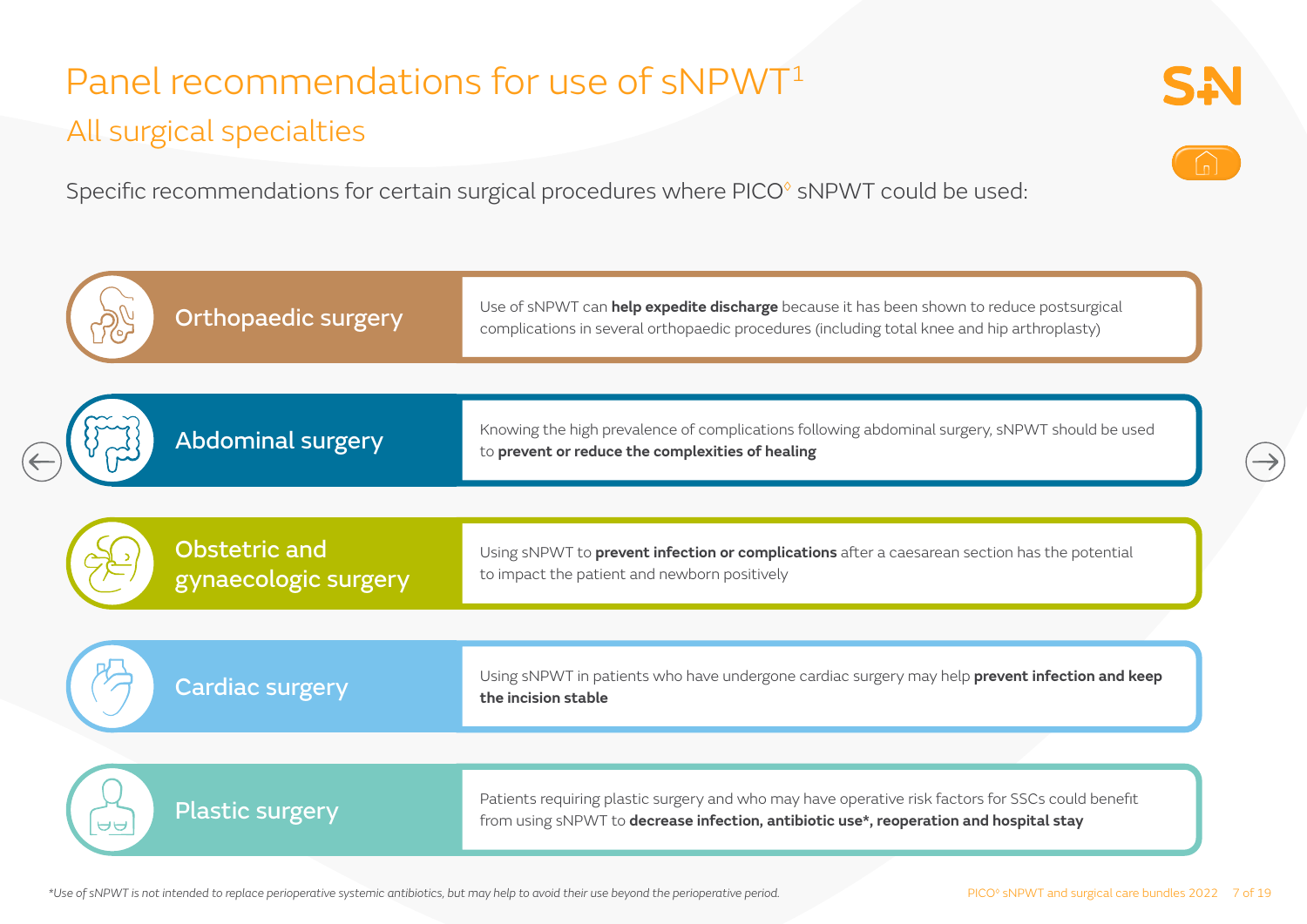## Panel recommendations for use of sNPWT<sup>1</sup> All surgical specialties

Specific recommendations for certain surgical procedures where PICO<sup>®</sup> sNPWT could be used:

|          | <b>Orthopaedic surgery</b>                   | Use of sNPWT can <i>help expedite discharge</i> because it has been shown to reduce postsurgical<br>complications in several orthopaedic procedures (including total knee and hip arthroplasty) |
|----------|----------------------------------------------|-------------------------------------------------------------------------------------------------------------------------------------------------------------------------------------------------|
|          | <b>Abdominal surgery</b>                     | Knowing the high prevalence of complications following abdominal surgery, sNPWT should be used<br>to prevent or reduce the complexities of healing                                              |
|          | <b>Obstetric and</b><br>gynaecologic surgery | Using sNPWT to prevent infection or complications after a caesarean section has the potential<br>to impact the patient and newborn positively                                                   |
|          | <b>Cardiac surgery</b>                       | Using sNPWT in patients who have undergone cardiac surgery may help prevent infection and keep<br>the incision stable                                                                           |
| $\theta$ | <b>Plastic surgery</b>                       | Patients requiring plastic surgery and who may have operative risk factors for SSCs could benefit<br>from using SNPWT to decrease infection, antibiotic use*, reoperation and hospital stay     |
|          |                                              |                                                                                                                                                                                                 |

*\*Use of sNPWT is not intended to replace perioperative systemic antibiotics, but may help to avoid their use beyond the perioperative period.*

SN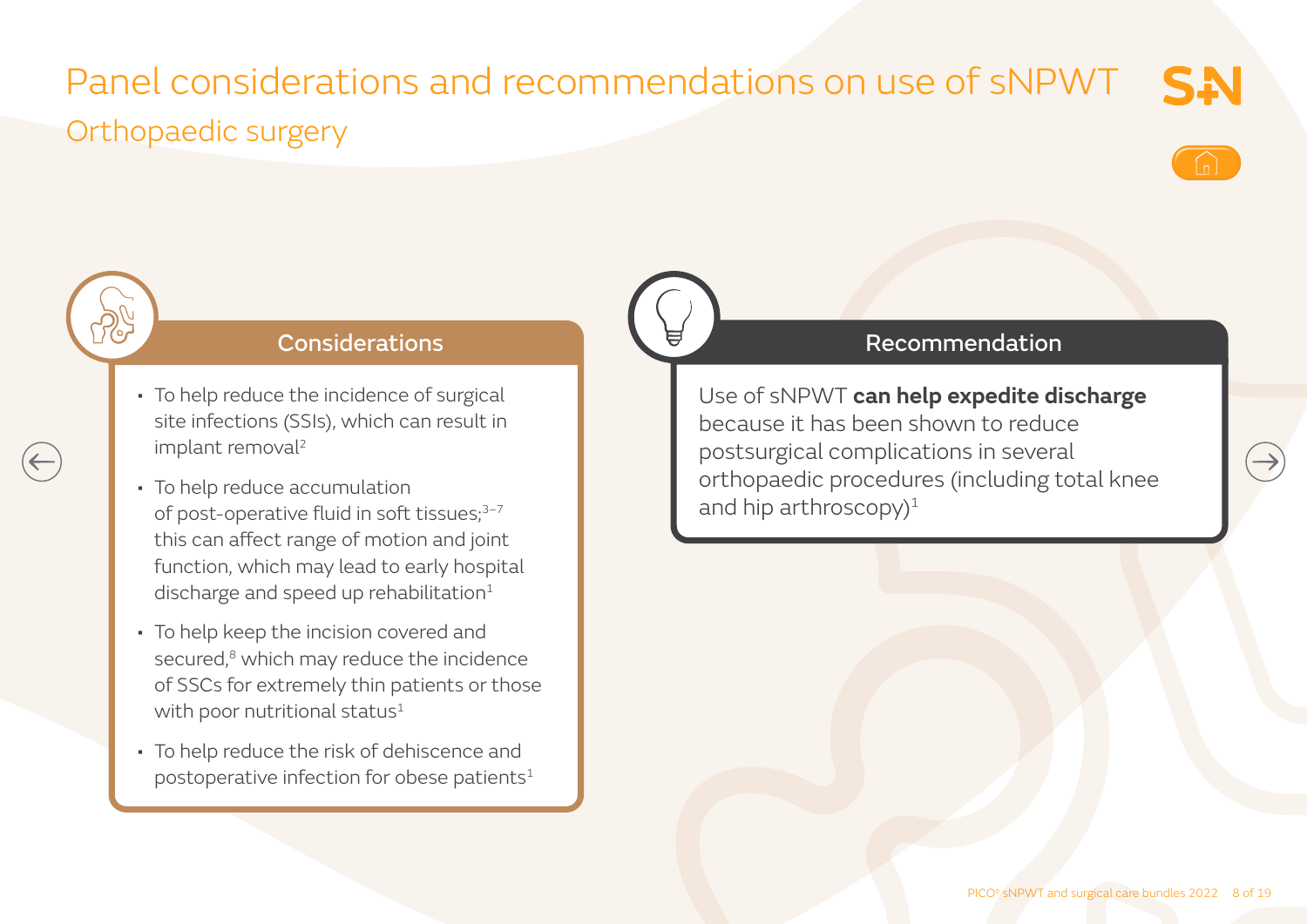### Panel considerations and recommendations on use of sNPWT SN Orthopaedic surgery





#### **Considerations**

- To help reduce the incidence of surgical site infections (SSIs), which can result in implant removal<sup>2</sup>
- To help reduce accumulation of post-operative fluid in soft tissues;<sup>3-7</sup> this can affect range of motion and joint function, which may lead to early hospital discharge and speed up rehabilitation $1$
- To help keep the incision covered and secured,<sup>8</sup> which may reduce the incidence of SSCs for extremely thin patients or those with poor nutritional status $1$
- To help reduce the risk of dehiscence and postoperative infection for obese patients<sup>1</sup>

#### Recommendation

Use of sNPWT **can help expedite discharge** because it has been shown to reduce postsurgical complications in several orthopaedic procedures (including total knee and hip arthroscopy $)^1$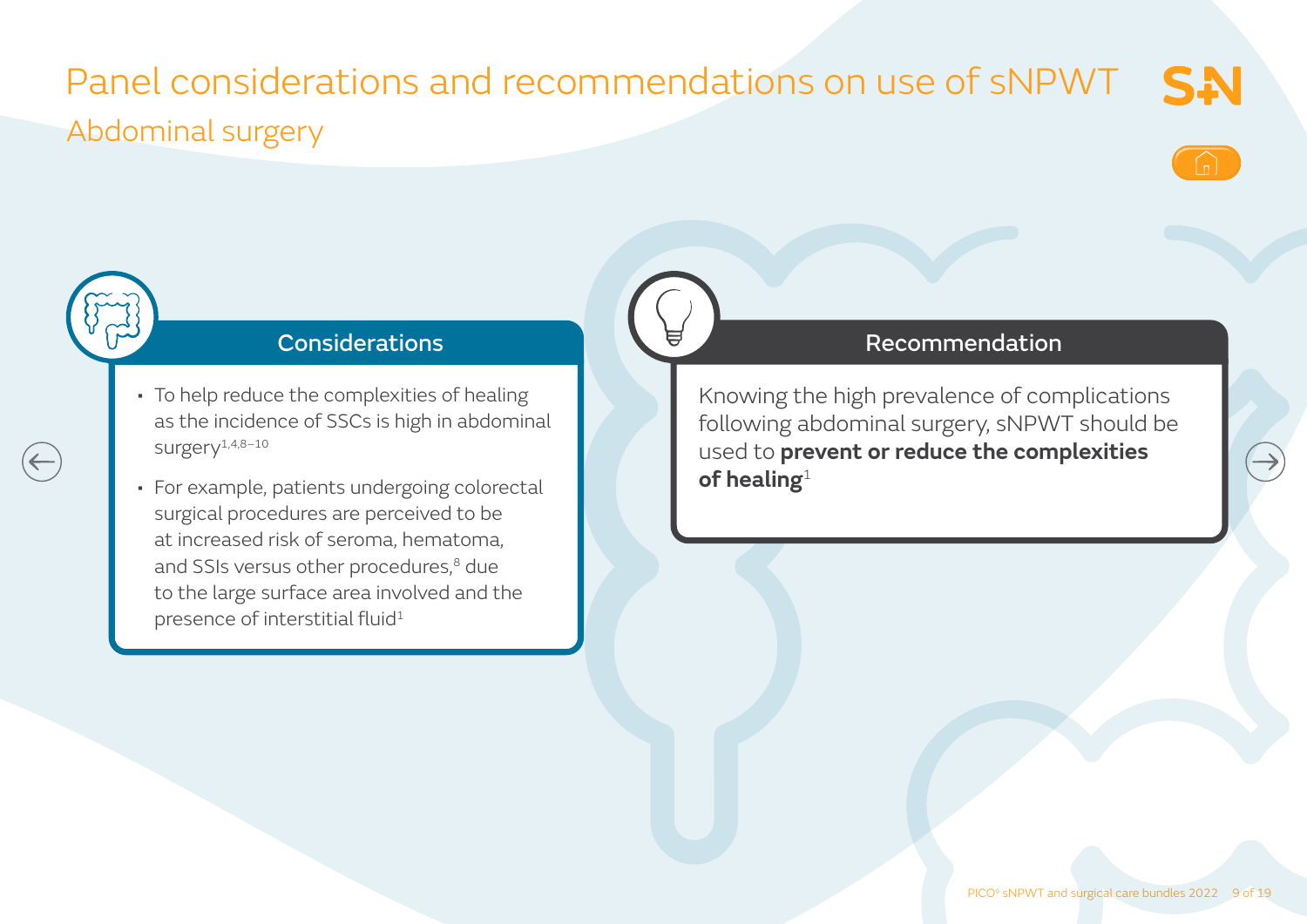## Panel considerations and recommendations on use of sNPWT Abdominal surgery



**SA** 



 $\left(\leftarrow\right)$ 

### Considerations

- To help reduce the complexities of healing as the incidence of SSCs is high in abdominal surgery1,4,8–10
- For example, patients undergoing colorectal surgical procedures are perceived to be at increased risk of seroma, hematoma, and SSIs versus other procedures,<sup>8</sup> due to the large surface area involved and the presence of interstitial fluid<sup>1</sup>

#### Recommendation

Knowing the high prevalence of complications following abdominal surgery, sNPWT should be used to **prevent or reduce the complexities of healing**1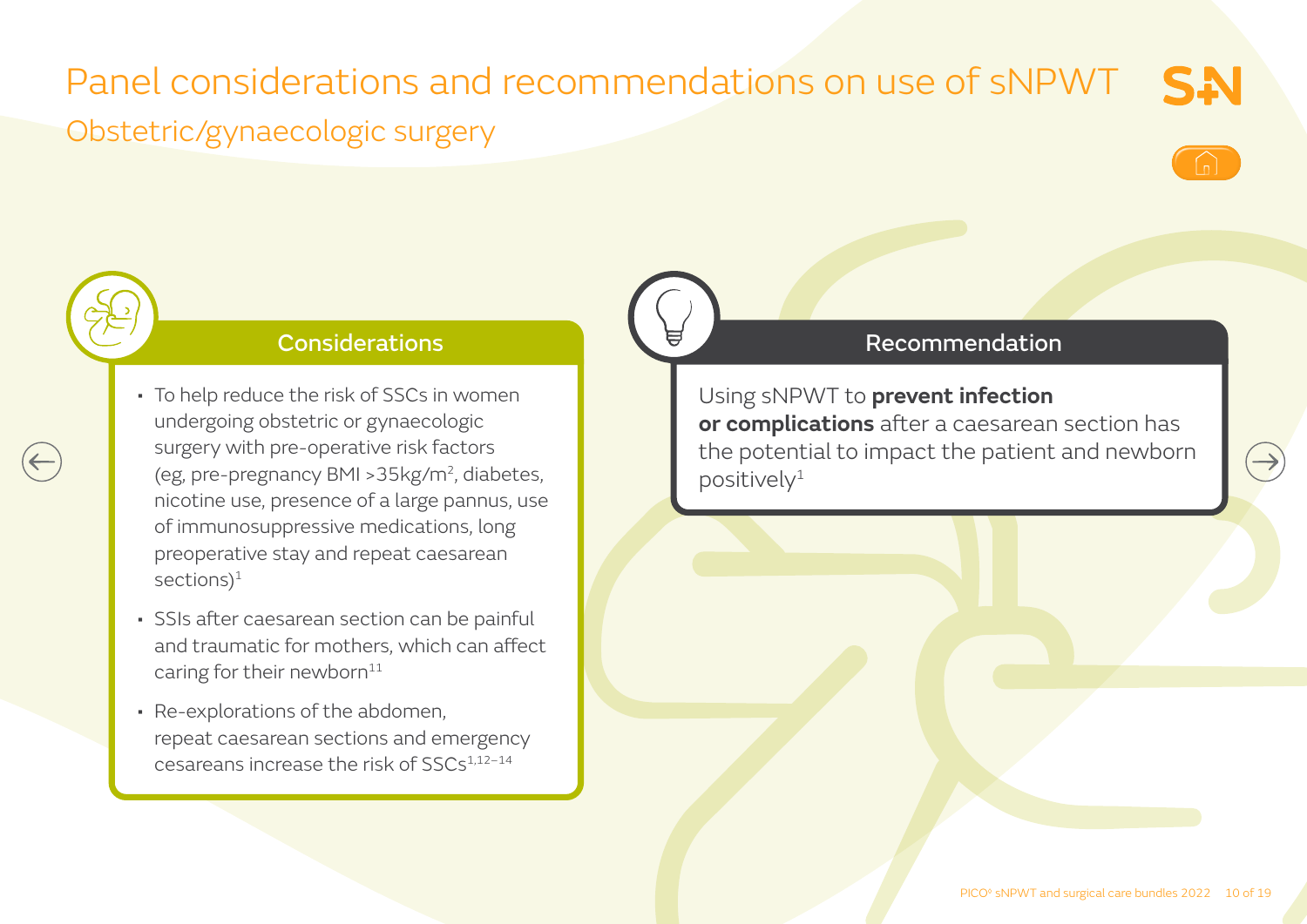## Panel considerations and recommendations on use of sNPWT Obstetric/gynaecologic surgery



 $\rightarrow$ 

SN



#### Considerations

- To help reduce the risk of SSCs in women undergoing obstetric or gynaecologic surgery with pre-operative risk factors (eg, pre-pregnancy BMI >35kg/m2, diabetes, nicotine use, presence of a large pannus, use of immunosuppressive medications, long preoperative stay and repeat caesarean sections) $1$
- SSIs after caesarean section can be painful and traumatic for mothers, which can affect caring for their newborn $11$
- Re-explorations of the abdomen, repeat caesarean sections and emergency cesareans increase the risk of SSCs1,12–14

#### Recommendation

Using sNPWT to **prevent infection or complications** after a caesarean section has the potential to impact the patient and newborn  $positively<sup>1</sup>$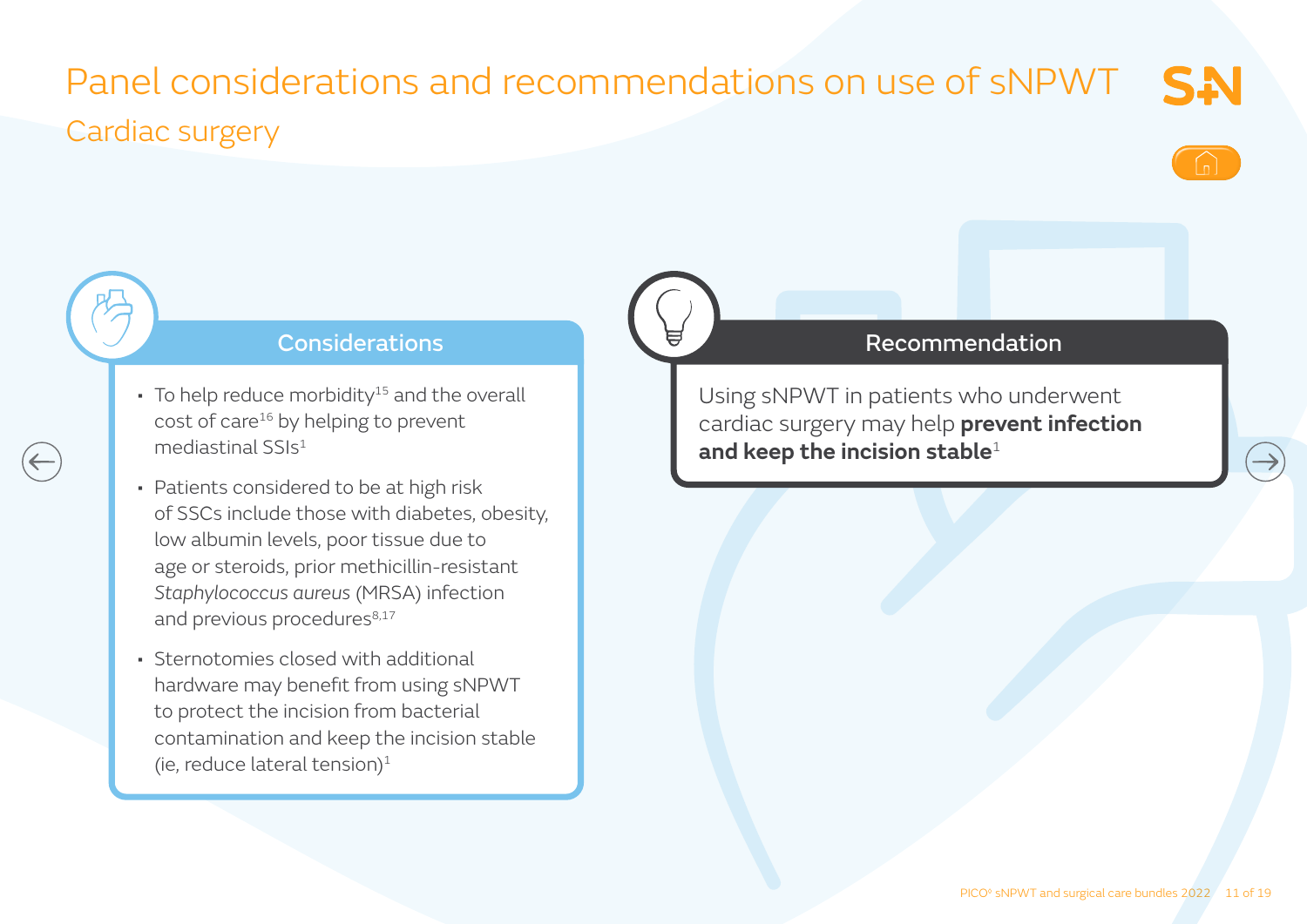### Panel considerations and recommendations on use of sNPWT SN Cardiac surgery



#### Considerations

- $\cdot$  To help reduce morbidity<sup>15</sup> and the overall cost of care<sup>16</sup> by helping to prevent mediastinal SSIs1
- Patients considered to be at high risk of SSCs include those with diabetes, obesity, low albumin levels, poor tissue due to age or steroids, prior methicillin-resistant *Staphylococcus aureus* (MRSA) infection and previous procedures<sup>8,17</sup>
- Sternotomies closed with additional hardware may benefit from using sNPWT to protect the incision from bacterial contamination and keep the incision stable (ie, reduce lateral tension) $1$

#### Recommendation

Using sNPWT in patients who underwent cardiac surgery may help **prevent infection and keep the incision stable**<sup>1</sup>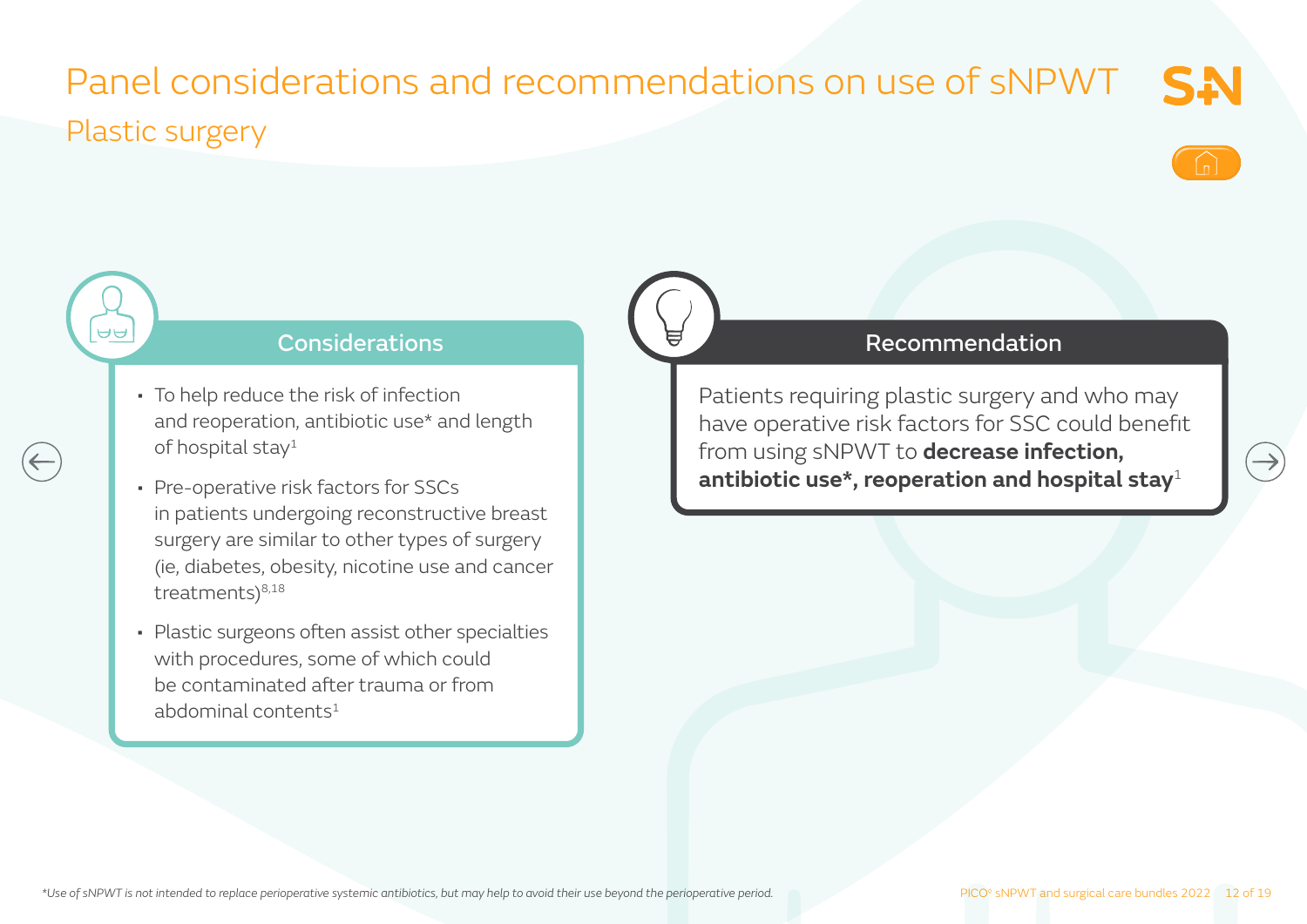### Panel considerations and recommendations on use of sNPWT SN Plastic surgery



#### **Considerations**

• To help reduce the risk of infection and reoperation, antibiotic use\* and length of hospital stay<sup>1</sup>

 $\Theta$ 

- Pre-operative risk factors for SSCs in patients undergoing reconstructive breast surgery are similar to other types of surgery (ie, diabetes, obesity, nicotine use and cancer treatments) $8,18$
- Plastic surgeons often assist other specialties with procedures, some of which could be contaminated after trauma or from abdominal contents $1$

#### Recommendation

Patients requiring plastic surgery and who may have operative risk factors for SSC could benefit from using sNPWT to **decrease infection, antibiotic use\*, reoperation and hospital stay**<sup>1</sup>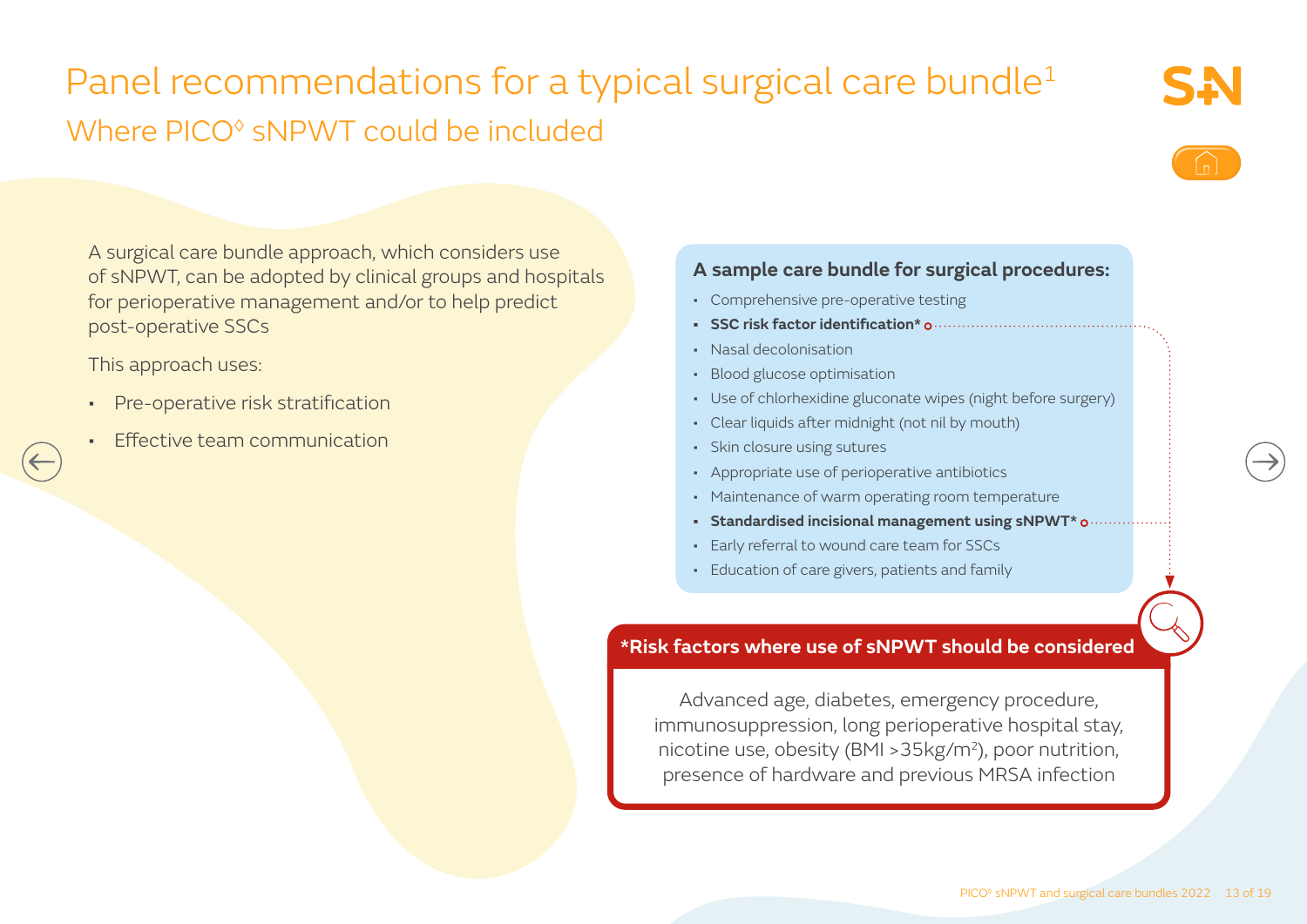## Panel recommendations for a typical surgical care bundle<sup>1</sup> Where PICO<sup>®</sup> sNPWT could be included



A surgical care bundle approach, which considers use of sNPWT, can be adopted by clinical groups and hospitals for perioperative management and/or to help predict post-operative SSCs

This approach uses:

- Pre-operative risk stratification
- Effective team communication

#### **A sample care bundle for surgical procedures:**

- Comprehensive pre-operative testing
- **• SSC risk factor identification\***
- Nasal decolonisation
- Blood glucose optimisation
- Use of chlorhexidine gluconate wipes (night before surgery)
- Clear liquids after midnight (not nil by mouth)
- Skin closure using sutures
- Appropriate use of perioperative antibiotics
- Maintenance of warm operating room temperature
- **• Standardised incisional management using sNPWT\***
- Early referral to wound care team for SSCs
- Education of care givers, patients and family

#### **\*Risk factors where use of sNPWT should be considered**

Advanced age, diabetes, emergency procedure, immunosuppression, long perioperative hospital stay, nicotine use, obesity (BMI >35kg/m2), poor nutrition, presence of hardware and previous MRSA infection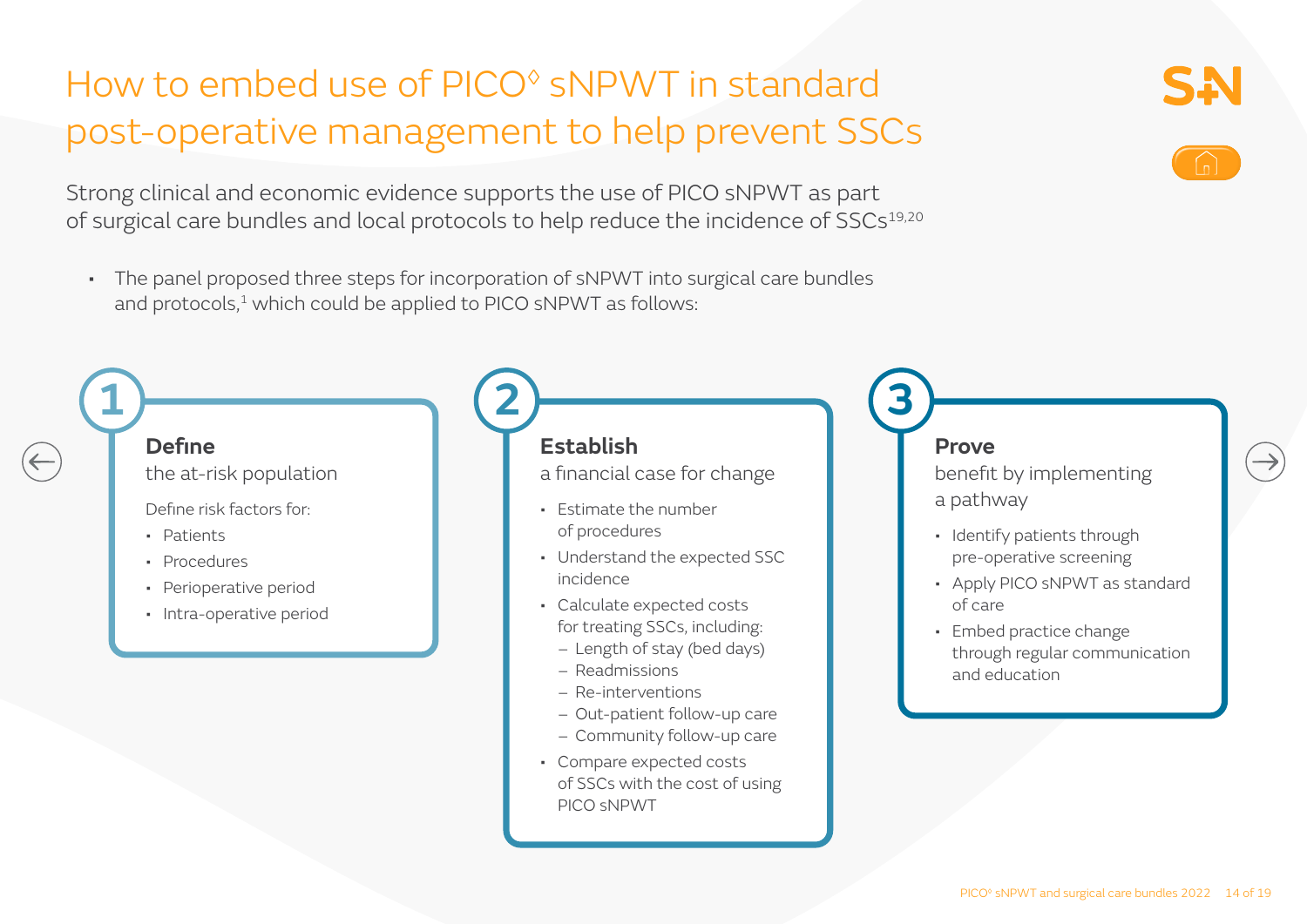## How to embed use of PICO<sup>®</sup> sNPWT in standard post-operative management to help prevent SSCs

Strong clinical and economic evidence supports the use of PICO sNPWT as part of surgical care bundles and local protocols to help reduce the incidence of SSCs<sup>19,20</sup>

• The panel proposed three steps for incorporation of sNPWT into surgical care bundles and protocols,<sup>1</sup> which could be applied to PICO sNPWT as follows:

**2**



**1**

the at-risk population

Define risk factors for:

- Patients
- Procedures
- Perioperative period
- Intra-operative period

### **Establish**

a financial case for change

- Estimate the number of procedures
- Understand the expected SSC incidence
- Calculate expected costs for treating SSCs, including:
	- Length of stay (bed days)
	- Readmissions
	- Re-interventions
	- Out-patient follow-up care
	- Community follow-up care
- Compare expected costs of SSCs with the cost of using PICO sNPWT

#### **Prove**

**3**

benefit by implementing a pathway

- Identify patients through pre-operative screening
- Apply PICO sNPWT as standard of care
- Embed practice change through regular communication and education



 $\rightarrow$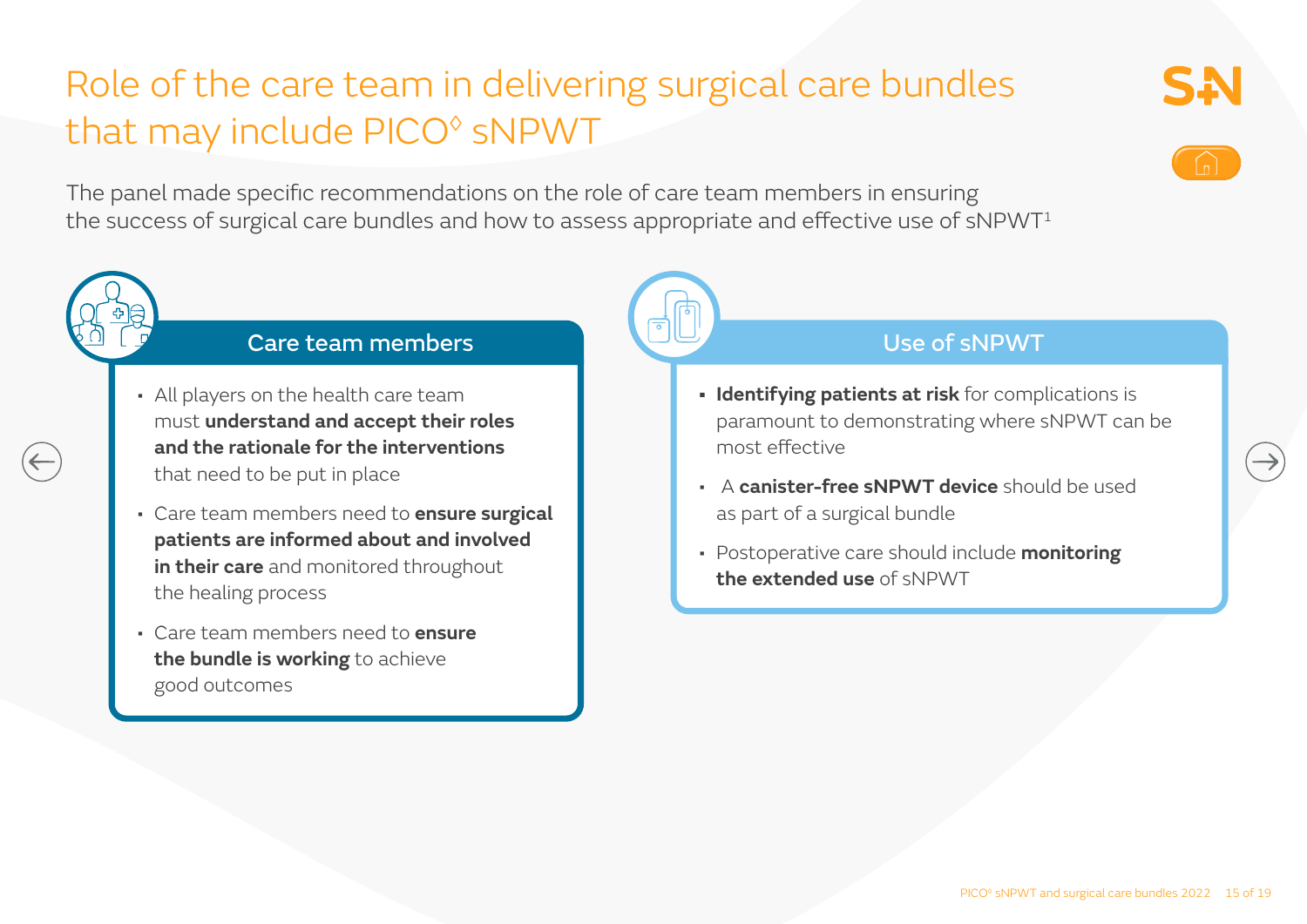## Role of the care team in delivering surgical care bundles that may include PICO◊ sNPWT

The panel made specific recommendations on the role of care team members in ensuring the success of surgical care bundles and how to assess appropriate and effective use of  $sNPWT<sup>1</sup>$ 



- All players on the health care team must **understand and accept their roles and the rationale for the interventions** that need to be put in place
- Care team members need to **ensure surgical patients are informed about and involved in their care** and monitored throughout the healing process
- Care team members need to **ensure the bundle is working** to achieve good outcomes

#### Use of sNPWT

- **• Identifying patients at risk** for complications is paramount to demonstrating where sNPWT can be most effective
- A **canister-free sNPWT device** should be used as part of a surgical bundle
- Postoperative care should include **monitoring the extended use** of sNPWT

SA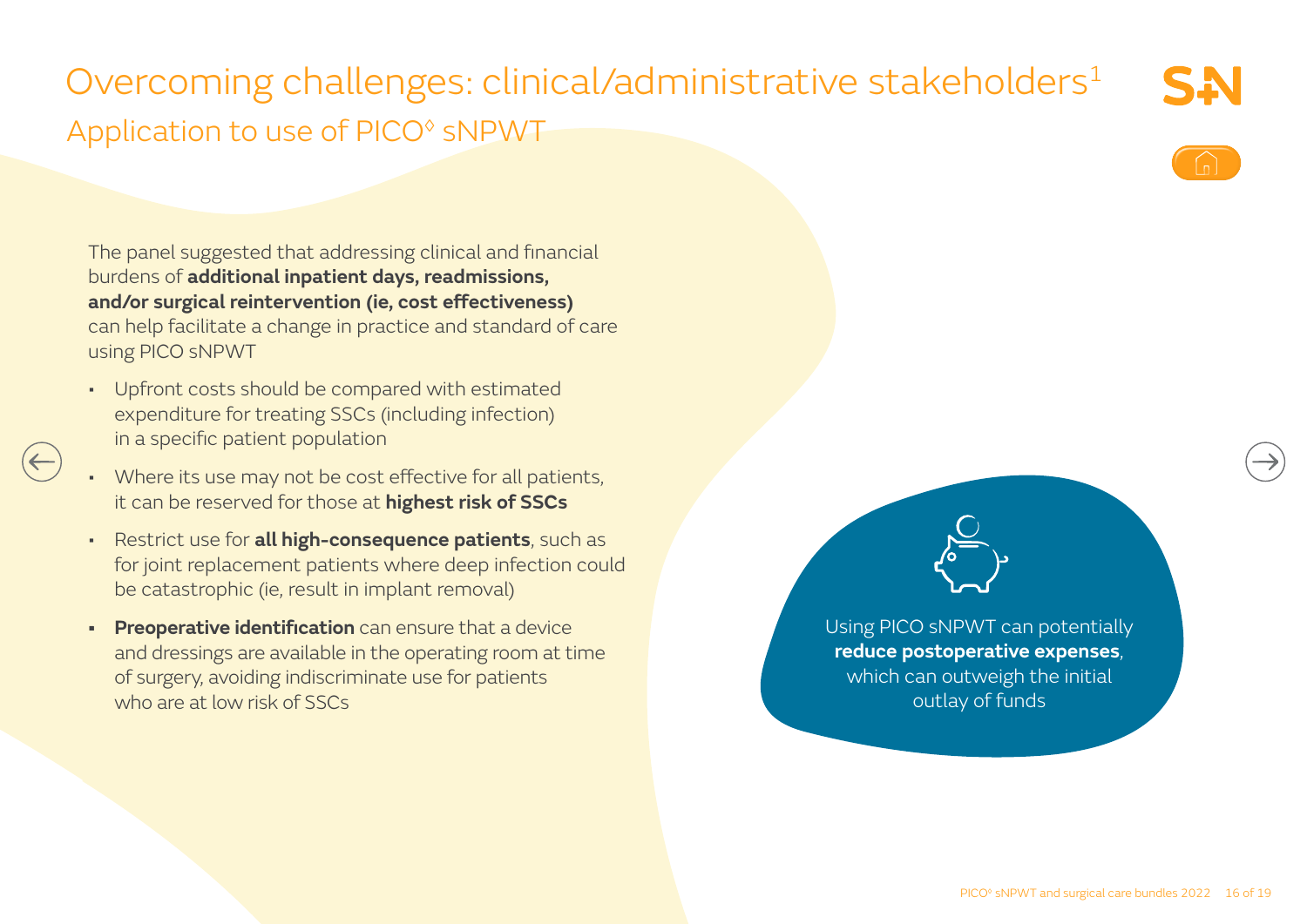## Overcoming challenges: clinical/administrative stakeholders<sup>1</sup> Application to use of PICO◊ sNPWT

The panel suggested that addressing clinical and financial burdens of **additional inpatient days, readmissions, and/or surgical reintervention (ie, cost effectiveness)** can help facilitate a change in practice and standard of care using PICO sNPWT

• Upfront costs should be compared with estimated expenditure for treating SSCs (including infection) in a specific patient population

 $(\leftarrow)$ 

- Where its use may not be cost effective for all patients, it can be reserved for those at **highest risk of SSCs**
- Restrict use for **all high-consequence patients**, such as for joint replacement patients where deep infection could be catastrophic (ie, result in implant removal)
- **• Preoperative identification** can ensure that a device and dressings are available in the operating room at time of surgery, avoiding indiscriminate use for patients who are at low risk of SSCs

Using PICO sNPWT can potentially **reduce postoperative expenses**, which can outweigh the initial outlay of funds

SA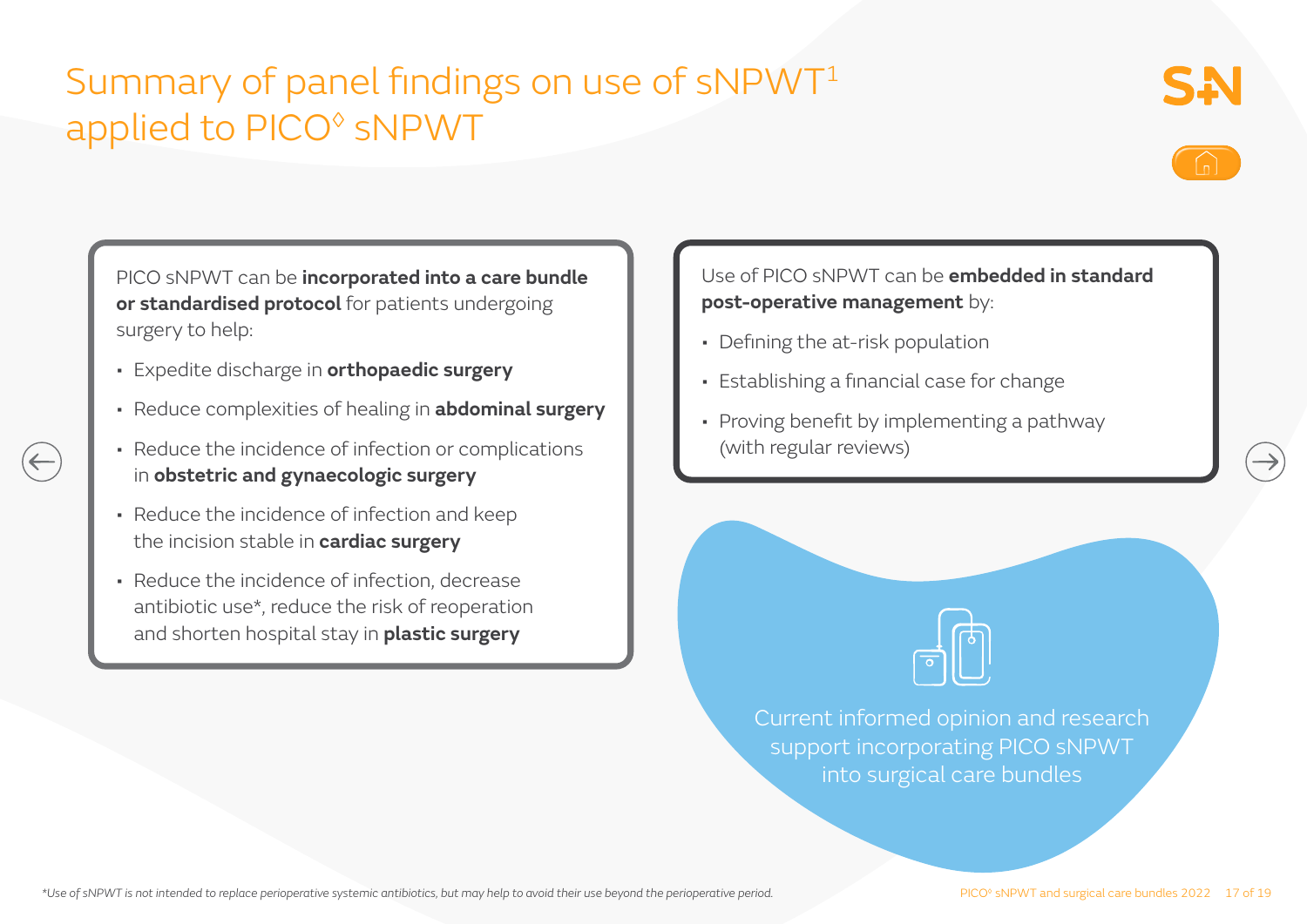### Summary of panel findings on use of sNPWT<sup>1</sup> applied to PICO◊ sNPWT





PICO sNPWT can be **incorporated into a care bundle or standardised protocol** for patients undergoing surgery to help:

- Expedite discharge in **orthopaedic surgery**
- Reduce complexities of healing in **abdominal surgery**
- Reduce the incidence of infection or complications in **obstetric and gynaecologic surgery**
- Reduce the incidence of infection and keep the incision stable in **cardiac surgery**
- Reduce the incidence of infection, decrease antibiotic use\*, reduce the risk of reoperation and shorten hospital stay in **plastic surgery**

Use of PICO sNPWT can be **embedded in standard post-operative management** by:

- Defining the at-risk population
- Establishing a financial case for change
- Proving benefit by implementing a pathway (with regular reviews)



Current informed opinion and research support incorporating PICO sNPWT into surgical care bundles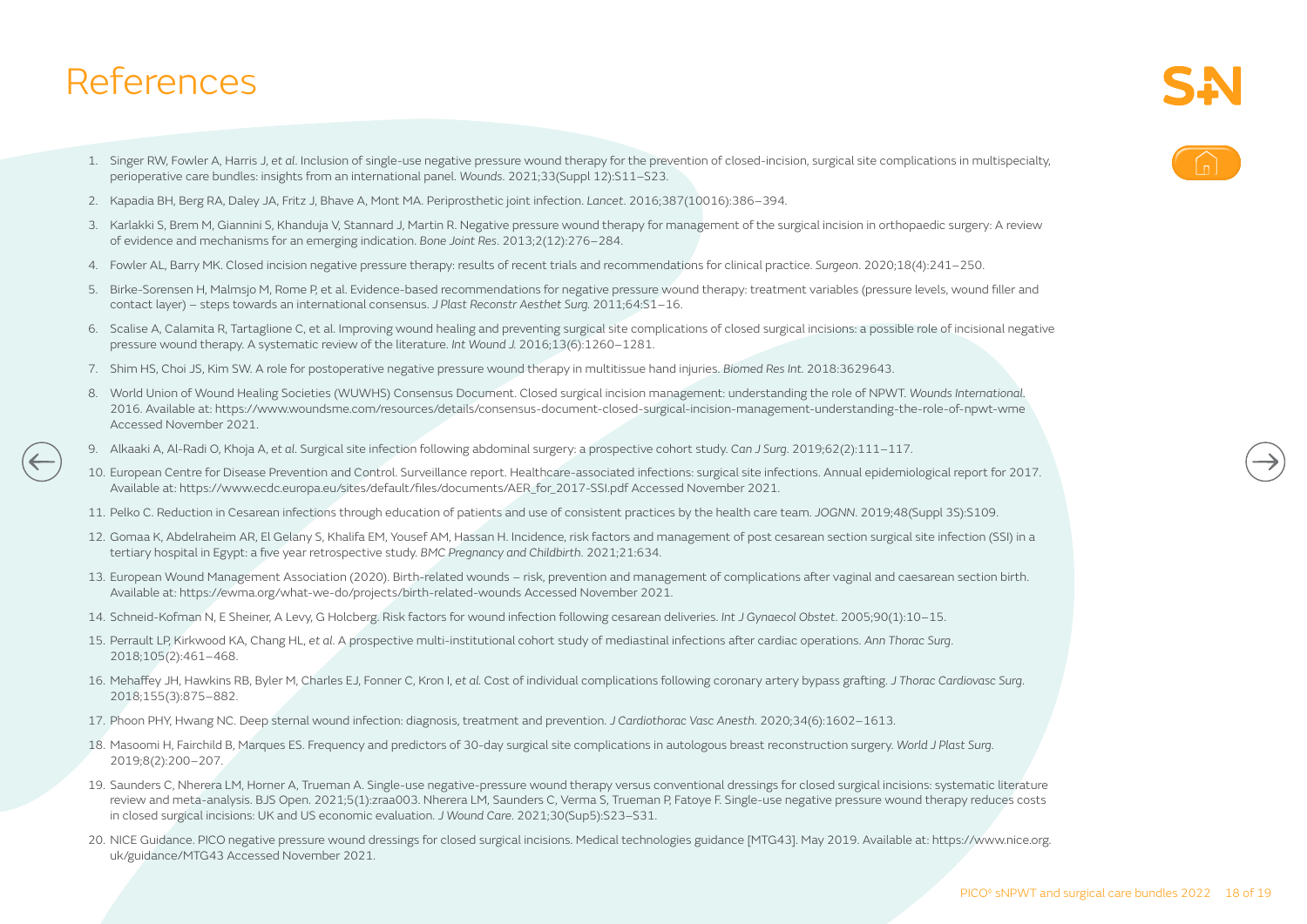### References

- 1. Singer RW, Fowler A, Harris J, *et al*. Inclusion of single-use negative pressure wound therapy for the prevention of closed-incision, surgical site complications in multispecialty, perioperative care bundles: insights from an international panel. *Wounds*. 2021;33(Suppl 12):S11–S23.
- 2. Kapadia BH, Berg RA, Daley JA, Fritz J, Bhave A, Mont MA. Periprosthetic joint infection. *Lancet*. 2016;387(10016):386–394.
- 3. Karlakki S, Brem M, Giannini S, Khanduja V, Stannard J, Martin R. Negative pressure wound therapy for management of the surgical incision in orthopaedic surgery: A review of evidence and mechanisms for an emerging indication. *Bone Joint Res*. 2013;2(12):276–284.
- 4. Fowler AL, Barry MK. Closed incision negative pressure therapy: results of recent trials and recommendations for clinical practice. *Surgeon*. 2020;18(4):241–250.
- 5. Birke-Sorensen H, Malmsjo M, Rome P, et al. Evidence-based recommendations for negative pressure wound therapy: treatment variables (pressure levels, wound filler and contact layer) – steps towards an international consensus. *J Plast Reconstr Aesthet Surg.* 2011;64:S1–16.
- 6. Scalise A, Calamita R, Tartaglione C, et al. Improving wound healing and preventing surgical site complications of closed surgical incisions: a possible role of incisional negative pressure wound therapy. A systematic review of the literature. *Int Wound J.* 2016;13(6):1260–1281.
- 7. Shim HS, Choi JS, Kim SW. A role for postoperative negative pressure wound therapy in multitissue hand injuries. *Biomed Res Int.* 2018:3629643.
- 8. World Union of Wound Healing Societies (WUWHS) Consensus Document. Closed surgical incision management: understanding the role of NPWT. *Wounds International*. 2016. Available at: https://www.woundsme.com/resources/details/consensus-document-closed-surgical-incision-management-understanding-the-role-of-npwt-wme Accessed November 2021.
- 9. Alkaaki A, Al-Radi O, Khoja A, *et al*. Surgical site infection following abdominal surgery: a prospective cohort study. *Can J Surg*. 2019;62(2):111–117.
- 10. European Centre for Disease Prevention and Control. Surveillance report. Healthcare-associated infections: surgical site infections. Annual epidemiological report for 2017. Available at: https://www.ecdc.europa.eu/sites/default/files/documents/AER\_for\_2017-SSI.pdf Accessed November 2021.
- 11. Pelko C. Reduction in Cesarean infections through education of patients and use of consistent practices by the health care team. *JOGNN*. 2019;48(Suppl 3S):S109.
- 12. Gomaa K, Abdelraheim AR, El Gelany S, Khalifa EM, Yousef AM, Hassan H. Incidence, risk factors and management of post cesarean section surgical site infection (SSI) in a tertiary hospital in Egypt: a five year retrospective study. *BMC Pregnancy and Childbirth*. 2021;21:634.
- 13. European Wound Management Association (2020). Birth-related wounds risk, prevention and management of complications after vaginal and caesarean section birth. Available at: https://ewma.org/what-we-do/projects/birth-related-wounds Accessed November 2021.
- 14. Schneid-Kofman N, E Sheiner, A Levy, G Holcberg. Risk factors for wound infection following cesarean deliveries. *Int J Gynaecol Obstet*. 2005;90(1):10–15.
- 15. Perrault LP, Kirkwood KA, Chang HL, *et al*. A prospective multi-institutional cohort study of mediastinal infections after cardiac operations. *Ann Thorac Surg*. 2018;105(2):461–468.
- 16. Mehaffey JH, Hawkins RB, Byler M, Charles EJ, Fonner C, Kron I, *et al.* Cost of individual complications following coronary artery bypass grafting. *J Thorac Cardiovasc Surg*. 2018;155(3):875–882.
- 17. Phoon PHY, Hwang NC. Deep sternal wound infection: diagnosis, treatment and prevention. *J Cardiothorac Vasc Anesth*. 2020;34(6):1602–1613.
- 18. Masoomi H, Fairchild B, Marques ES. Frequency and predictors of 30-day surgical site complications in autologous breast reconstruction surgery. *World J Plast Surg*. 2019;8(2):200–207.
- 19. Saunders C, Nherera LM, Horner A, Trueman A. Single-use negative-pressure wound therapy versus conventional dressings for closed surgical incisions: systematic literature review and meta-analysis. BJS Open. 2021;5(1):zraa003. Nherera LM, Saunders C, Verma S, Trueman P, Fatoye F. Single-use negative pressure wound therapy reduces costs in closed surgical incisions: UK and US economic evaluation. *J Wound Care*. 2021;30(Sup5):S23–S31.
- 20. NICE Guidance. PICO negative pressure wound dressings for closed surgical incisions. Medical technologies guidance [MTG43]. May 2019. Available at: https://www.nice.org. uk/guidance/MTG43 Accessed November 2021.